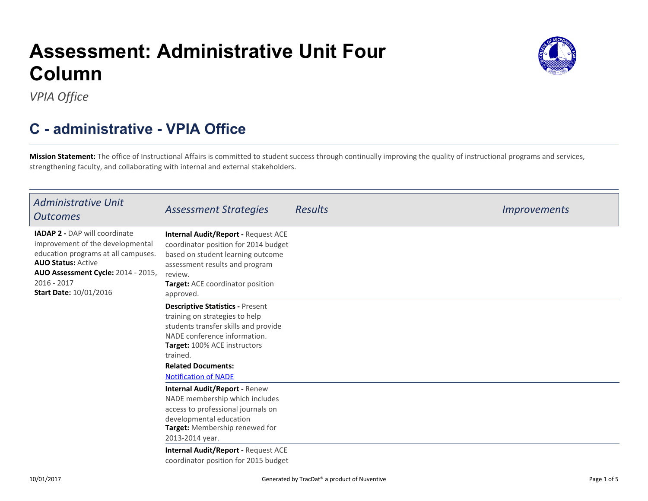#### 10/01/2017

Generated by TracDat<sup>®</sup> a product of Nuventive **Page 1 of 5** and 2 of 5

# **Assessment: Administrative Unit FourColumn**

*VPIA Office*

## **C - administrative - VPIA Office**

**Mission Statement:** The office of Instructional Affairs is committed to student success through continually improving the quality of instructional programs and services,strengthening faculty, and collaborating with internal and external stakeholders.

| <b>Administrative Unit</b><br><b>Outcomes</b>                                                                                                                                                                                        | <b>Assessment Strategies</b>                                                                                                                                                                                                                              | <b>Results</b> | <i>Improvements</i> |
|--------------------------------------------------------------------------------------------------------------------------------------------------------------------------------------------------------------------------------------|-----------------------------------------------------------------------------------------------------------------------------------------------------------------------------------------------------------------------------------------------------------|----------------|---------------------|
| <b>IADAP 2 - DAP will coordinate</b><br>improvement of the developmental<br>education programs at all campuses.<br><b>AUO Status: Active</b><br>AUO Assessment Cycle: 2014 - 2015,<br>$2016 - 2017$<br><b>Start Date: 10/01/2016</b> | <b>Internal Audit/Report - Request ACE</b><br>coordinator position for 2014 budget<br>based on student learning outcome<br>assessment results and program<br>review.<br><b>Target:</b> ACE coordinator position<br>approved.                              |                |                     |
|                                                                                                                                                                                                                                      | <b>Descriptive Statistics - Present</b><br>training on strategies to help<br>students transfer skills and provide<br>NADE conference information.<br>Target: 100% ACE instructors<br>trained.<br><b>Related Documents:</b><br><b>Notification of NADE</b> |                |                     |
|                                                                                                                                                                                                                                      | <b>Internal Audit/Report - Renew</b><br>NADE membership which includes<br>access to professional journals on<br>developmental education<br>Target: Membership renewed for<br>2013-2014 year.                                                              |                |                     |
|                                                                                                                                                                                                                                      | <b>Internal Audit/Report - Request ACE</b><br>coordinator position for 2015 budget                                                                                                                                                                        |                |                     |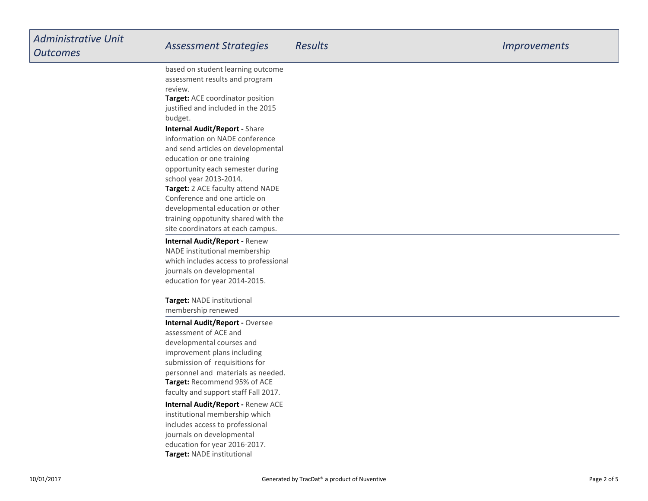| <b>Administrative Unit</b><br><b>Outcomes</b> | <b>Assessment Strategies</b>                                           | <b>Results</b> | <i><u><b>Improvements</b></u></i> |
|-----------------------------------------------|------------------------------------------------------------------------|----------------|-----------------------------------|
|                                               | based on student learning outcome                                      |                |                                   |
|                                               | assessment results and program                                         |                |                                   |
|                                               | review.                                                                |                |                                   |
|                                               | Target: ACE coordinator position<br>justified and included in the 2015 |                |                                   |
|                                               | budget.                                                                |                |                                   |
|                                               | <b>Internal Audit/Report - Share</b>                                   |                |                                   |
|                                               | information on NADE conference                                         |                |                                   |
|                                               | and send articles on developmental                                     |                |                                   |
|                                               | education or one training                                              |                |                                   |
|                                               | opportunity each semester during                                       |                |                                   |
|                                               | school year 2013-2014.                                                 |                |                                   |
|                                               | Target: 2 ACE faculty attend NADE                                      |                |                                   |
|                                               | Conference and one article on                                          |                |                                   |
|                                               | developmental education or other                                       |                |                                   |
|                                               | training oppotunity shared with the                                    |                |                                   |
|                                               | site coordinators at each campus.                                      |                |                                   |
|                                               | <b>Internal Audit/Report - Renew</b>                                   |                |                                   |
|                                               | NADE institutional membership                                          |                |                                   |
|                                               | which includes access to professional                                  |                |                                   |
|                                               | journals on developmental<br>education for year 2014-2015.             |                |                                   |
|                                               |                                                                        |                |                                   |
|                                               | Target: NADE institutional                                             |                |                                   |
|                                               | membership renewed                                                     |                |                                   |
|                                               | <b>Internal Audit/Report - Oversee</b>                                 |                |                                   |
|                                               | assessment of ACE and                                                  |                |                                   |
|                                               | developmental courses and                                              |                |                                   |
|                                               | improvement plans including                                            |                |                                   |
|                                               | submission of requisitions for                                         |                |                                   |
|                                               | personnel and materials as needed.                                     |                |                                   |
|                                               | Target: Recommend 95% of ACE                                           |                |                                   |
|                                               | faculty and support staff Fall 2017.                                   |                |                                   |
|                                               | <b>Internal Audit/Report - Renew ACE</b>                               |                |                                   |
|                                               | institutional membership which                                         |                |                                   |
|                                               | includes access to professional                                        |                |                                   |
|                                               | journals on developmental<br>education for year 2016-2017.             |                |                                   |
|                                               | Target: NADE institutional                                             |                |                                   |
|                                               |                                                                        |                |                                   |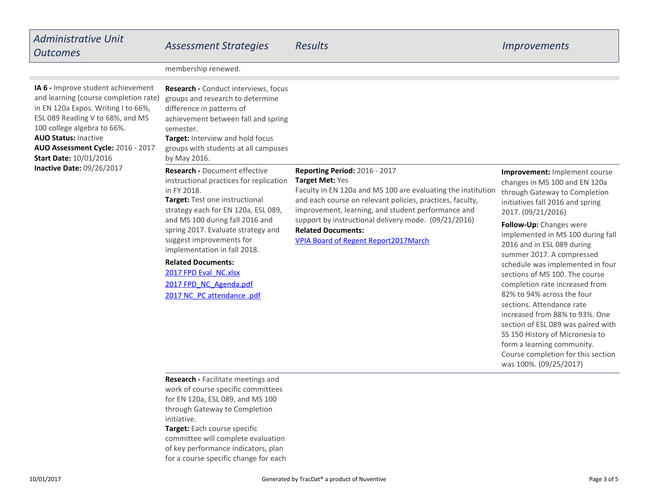## *Administrative UnitOutcomes*

## *Assessment Strategies Results Improvements*

membership renewed.

**AUO Status:** Inactive **AUO Assessment Cycle:** 2016 - 2017**Inactive Date:** 09/26/2017 **IA 6 -** Improve student achievement and learning (course completion rate)in EN 120a Expos. Writing I to 66%,ESL 089 Reading V to 68%, and MS100 college algebra to 66%.**Start Date:** 10/01/2016

| Research - Conduct interviews, focus<br>groups and research to determine<br>difference in patterns of<br>achievement between fall and spring<br>semester.<br><b>Target:</b> Interview and hold focus<br>groups with students at all campuses<br>by May 2016.                                                 |                                                                                                                                                                                                                                                                                                                                                                                       |                                                                                                                                                         |
|--------------------------------------------------------------------------------------------------------------------------------------------------------------------------------------------------------------------------------------------------------------------------------------------------------------|---------------------------------------------------------------------------------------------------------------------------------------------------------------------------------------------------------------------------------------------------------------------------------------------------------------------------------------------------------------------------------------|---------------------------------------------------------------------------------------------------------------------------------------------------------|
| <b>Research -</b> Document effective<br>instructional practices for replication<br>in FY 2018.<br>Target: Test one instructional<br>strategy each for EN 120a, ESL 089,<br>and MS 100 during fall 2016 and<br>spring 2017. Evaluate strategy and<br>suggest improvements for<br>implementation in fall 2018. | <b>Reporting Period: 2016 - 2017</b><br><b>Target Met: Yes</b><br>Faculty in EN 120a and MS 100 are evaluating the institution<br>and each course on relevant policies, practices, faculty,<br>improvement, learning, and student performance and<br>support by instructional delivery mode. (09/21/2016)<br><b>Related Documents:</b><br><b>VPIA Board of Regent Report2017March</b> | <b>Improvement:</b> Implement co<br>changes in MS 100 and EN 12<br>through Gateway to Complet<br>initiatives fall 2016 and spring<br>2017. (09/21/2016) |
|                                                                                                                                                                                                                                                                                                              |                                                                                                                                                                                                                                                                                                                                                                                       | Follow-Up: Changes were<br>implemented in MS 100 duri<br>2016 and in ESL 089 during<br>summer 2017. A compressed                                        |

### **Related Documents:**

[2017 FPD Eval](https://comfsm.tracdat.com:443/tracdat/viewDocument?y=l7gXcsvXcqm4)\_[NC.xlsx](https://comfsm.tracdat.com:443/tracdat/viewDocument?y=l7gXcsvXcqm4) [2017 FPD](https://comfsm.tracdat.com:443/tracdat/viewDocument?y=n3V6K9lKAmfj)\_[NC](https://comfsm.tracdat.com:443/tracdat/viewDocument?y=n3V6K9lKAmfj)\_[Agenda.pdf](https://comfsm.tracdat.com:443/tracdat/viewDocument?y=n3V6K9lKAmfj) [2017 NC](https://comfsm.tracdat.com:443/tracdat/viewDocument?y=A5ANrIegy3AC)\_[PC attendance .pdf](https://comfsm.tracdat.com:443/tracdat/viewDocument?y=A5ANrIegy3AC)

**Iurse**  $0a$ changes in MS 100 and EN 120ation through Gateway to Completioninitiatives fall 2016 and spring

ng fall summer 2017. A compressed schedule was implemented in foursections of MS 100. The course completion rate increased from82% to 94% across the foursections. Attendance rate increased from 88% to 93%. One section of ESL 089 was paired withSS 150 History of Micronesia toform a learning community. Course completion for this sectionwas 100%. (09/25/2017)

**Research -** Facilitate meetings and work of course specific committeesfor EN 120a, ESL 089, and MS 100 through Gateway to Completioninitiative.

**Target:** Each course specific committee will complete evaluation of key performance indicators, planfor a course specific change for each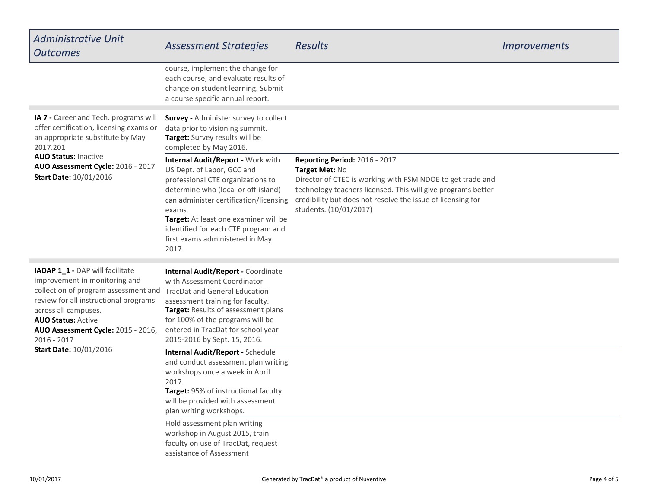| <b>Administrative Unit</b><br><b>Outcomes</b>                                                                                                                                                                                                                                                  | <b>Assessment Strategies</b>                                                                                                                                                                                                                                                                                                | <b>Results</b>                                                                                                                                                                                                                                                         | <i>Improvements</i> |
|------------------------------------------------------------------------------------------------------------------------------------------------------------------------------------------------------------------------------------------------------------------------------------------------|-----------------------------------------------------------------------------------------------------------------------------------------------------------------------------------------------------------------------------------------------------------------------------------------------------------------------------|------------------------------------------------------------------------------------------------------------------------------------------------------------------------------------------------------------------------------------------------------------------------|---------------------|
|                                                                                                                                                                                                                                                                                                | course, implement the change for<br>each course, and evaluate results of<br>change on student learning. Submit<br>a course specific annual report.                                                                                                                                                                          |                                                                                                                                                                                                                                                                        |                     |
| IA 7 - Career and Tech. programs will<br>offer certification, licensing exams or<br>an appropriate substitute by May<br>2017.201<br><b>AUO Status: Inactive</b><br>AUO Assessment Cycle: 2016 - 2017<br><b>Start Date: 10/01/2016</b>                                                          | Survey - Administer survey to collect<br>data prior to visioning summit.<br>Target: Survey results will be<br>completed by May 2016.                                                                                                                                                                                        |                                                                                                                                                                                                                                                                        |                     |
|                                                                                                                                                                                                                                                                                                | Internal Audit/Report - Work with<br>US Dept. of Labor, GCC and<br>professional CTE organizations to<br>determine who (local or off-island)<br>can administer certification/licensing<br>exams.<br>Target: At least one examiner will be<br>identified for each CTE program and<br>first exams administered in May<br>2017. | Reporting Period: 2016 - 2017<br>Target Met: No<br>Director of CTEC is working with FSM NDOE to get trade and<br>technology teachers licensed. This will give programs better<br>credibility but does not resolve the issue of licensing for<br>students. (10/01/2017) |                     |
| IADAP 1_1 - DAP will facilitate<br>improvement in monitoring and<br>collection of program assessment and<br>review for all instructional programs<br>across all campuses.<br><b>AUO Status: Active</b><br>AUO Assessment Cycle: 2015 - 2016,<br>$2016 - 2017$<br><b>Start Date: 10/01/2016</b> | Internal Audit/Report - Coordinate<br>with Assessment Coordinator<br><b>TracDat and General Education</b><br>assessment training for faculty.<br>Target: Results of assessment plans<br>for 100% of the programs will be<br>entered in TracDat for school year<br>2015-2016 by Sept. 15, 2016.                              |                                                                                                                                                                                                                                                                        |                     |
|                                                                                                                                                                                                                                                                                                | <b>Internal Audit/Report - Schedule</b><br>and conduct assessment plan writing<br>workshops once a week in April<br>2017.<br>Target: 95% of instructional faculty<br>will be provided with assessment<br>plan writing workshops.                                                                                            |                                                                                                                                                                                                                                                                        |                     |
|                                                                                                                                                                                                                                                                                                | Hold assessment plan writing<br>workshop in August 2015, train<br>faculty on use of TracDat, request<br>assistance of Assessment                                                                                                                                                                                            |                                                                                                                                                                                                                                                                        |                     |